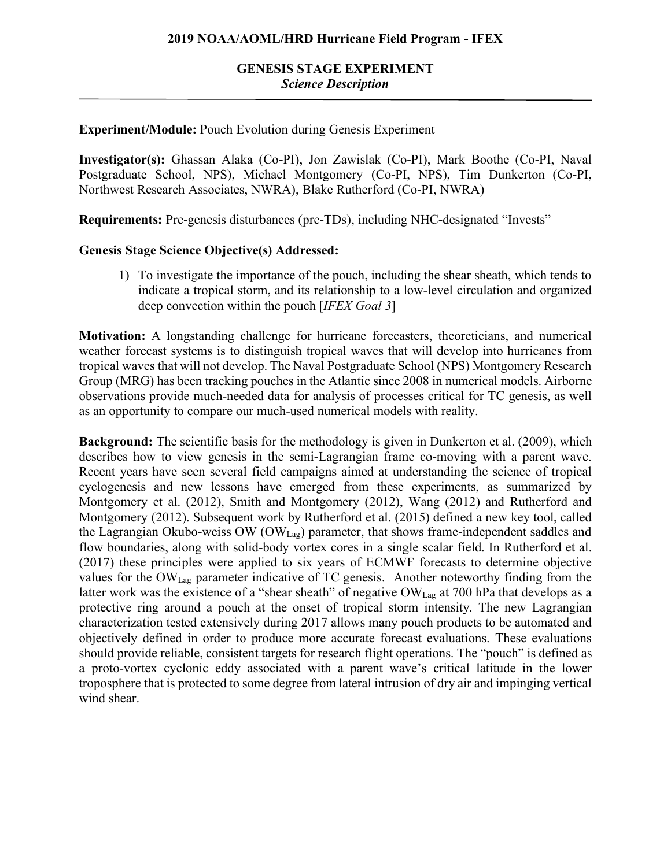## **2019 NOAA/AOML/HRD Hurricane Field Program - IFEX**

# **GENESIS STAGE EXPERIMENT** *Science Description*

### **Experiment/Module:** Pouch Evolution during Genesis Experiment

**Investigator(s):** Ghassan Alaka (Co-PI), Jon Zawislak (Co-PI), Mark Boothe (Co-PI, Naval Postgraduate School, NPS), Michael Montgomery (Co-PI, NPS), Tim Dunkerton (Co-PI, Northwest Research Associates, NWRA), Blake Rutherford (Co-PI, NWRA)

**Requirements:** Pre-genesis disturbances (pre-TDs), including NHC-designated "Invests"

#### **Genesis Stage Science Objective(s) Addressed:**

1) To investigate the importance of the pouch, including the shear sheath, which tends to indicate a tropical storm, and its relationship to a low-level circulation and organized deep convection within the pouch [*IFEX Goal 3*]

**Motivation:** A longstanding challenge for hurricane forecasters, theoreticians, and numerical weather forecast systems is to distinguish tropical waves that will develop into hurricanes from tropical waves that will not develop. The Naval Postgraduate School (NPS) Montgomery Research Group (MRG) has been tracking pouches in the Atlantic since 2008 in numerical models. Airborne observations provide much-needed data for analysis of processes critical for TC genesis, as well as an opportunity to compare our much-used numerical models with reality.

**Background:** The scientific basis for the methodology is given in Dunkerton et al. (2009), which describes how to view genesis in the semi-Lagrangian frame co-moving with a parent wave. Recent years have seen several field campaigns aimed at understanding the science of tropical cyclogenesis and new lessons have emerged from these experiments, as summarized by Montgomery et al. (2012), Smith and Montgomery (2012), Wang (2012) and Rutherford and Montgomery (2012). Subsequent work by Rutherford et al. (2015) defined a new key tool, called the Lagrangian Okubo-weiss OW (OWLag) parameter, that shows frame-independent saddles and flow boundaries, along with solid-body vortex cores in a single scalar field. In Rutherford et al. (2017) these principles were applied to six years of ECMWF forecasts to determine objective values for the OWLag parameter indicative of TC genesis. Another noteworthy finding from the latter work was the existence of a "shear sheath" of negative OW<sub>Lag</sub> at 700 hPa that develops as a protective ring around a pouch at the onset of tropical storm intensity. The new Lagrangian characterization tested extensively during 2017 allows many pouch products to be automated and objectively defined in order to produce more accurate forecast evaluations. These evaluations should provide reliable, consistent targets for research flight operations. The "pouch" is defined as a proto-vortex cyclonic eddy associated with a parent wave's critical latitude in the lower troposphere that is protected to some degree from lateral intrusion of dry air and impinging vertical wind shear.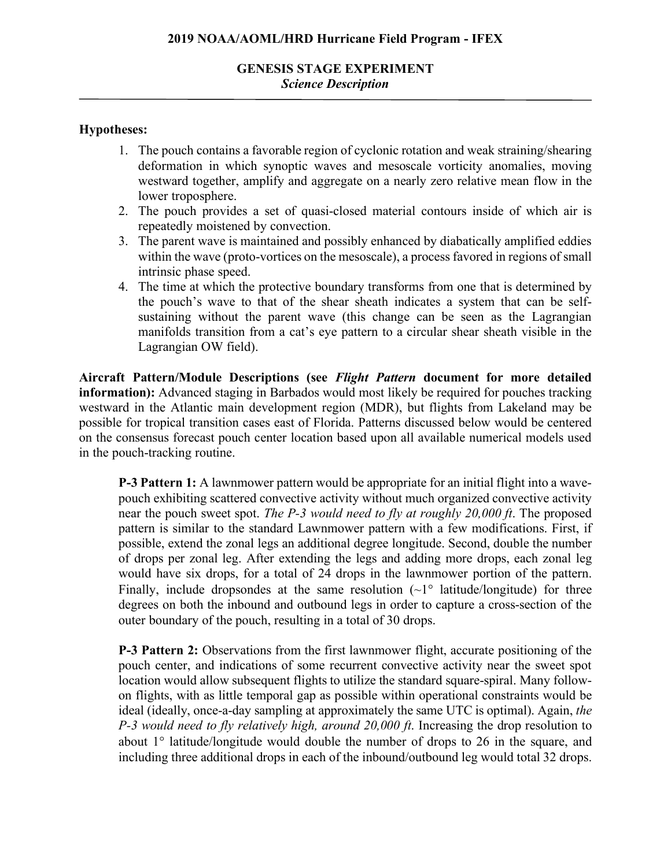# **GENESIS STAGE EXPERIMENT** *Science Description*

## **Hypotheses:**

- 1. The pouch contains a favorable region of cyclonic rotation and weak straining/shearing deformation in which synoptic waves and mesoscale vorticity anomalies, moving westward together, amplify and aggregate on a nearly zero relative mean flow in the lower troposphere.
- 2. The pouch provides a set of quasi-closed material contours inside of which air is repeatedly moistened by convection.
- 3. The parent wave is maintained and possibly enhanced by diabatically amplified eddies within the wave (proto-vortices on the mesoscale), a process favored in regions of small intrinsic phase speed.
- 4. The time at which the protective boundary transforms from one that is determined by the pouch's wave to that of the shear sheath indicates a system that can be selfsustaining without the parent wave (this change can be seen as the Lagrangian manifolds transition from a cat's eye pattern to a circular shear sheath visible in the Lagrangian OW field).

**Aircraft Pattern/Module Descriptions (see** *Flight Pattern* **document for more detailed information):** Advanced staging in Barbados would most likely be required for pouches tracking westward in the Atlantic main development region (MDR), but flights from Lakeland may be possible for tropical transition cases east of Florida. Patterns discussed below would be centered on the consensus forecast pouch center location based upon all available numerical models used in the pouch-tracking routine.

**P-3 Pattern 1:** A lawnmower pattern would be appropriate for an initial flight into a wavepouch exhibiting scattered convective activity without much organized convective activity near the pouch sweet spot. *The P-3 would need to fly at roughly 20,000 ft*. The proposed pattern is similar to the standard Lawnmower pattern with a few modifications. First, if possible, extend the zonal legs an additional degree longitude. Second, double the number of drops per zonal leg. After extending the legs and adding more drops, each zonal leg would have six drops, for a total of 24 drops in the lawnmower portion of the pattern. Finally, include dropsondes at the same resolution  $(-1)$ <sup>o</sup> latitude/longitude) for three degrees on both the inbound and outbound legs in order to capture a cross-section of the outer boundary of the pouch, resulting in a total of 30 drops.

**P-3 Pattern 2:** Observations from the first lawnmower flight, accurate positioning of the pouch center, and indications of some recurrent convective activity near the sweet spot location would allow subsequent flights to utilize the standard square-spiral. Many followon flights, with as little temporal gap as possible within operational constraints would be ideal (ideally, once-a-day sampling at approximately the same UTC is optimal). Again, *the P-3 would need to fly relatively high, around 20,000 ft*. Increasing the drop resolution to about 1° latitude/longitude would double the number of drops to 26 in the square, and including three additional drops in each of the inbound/outbound leg would total 32 drops.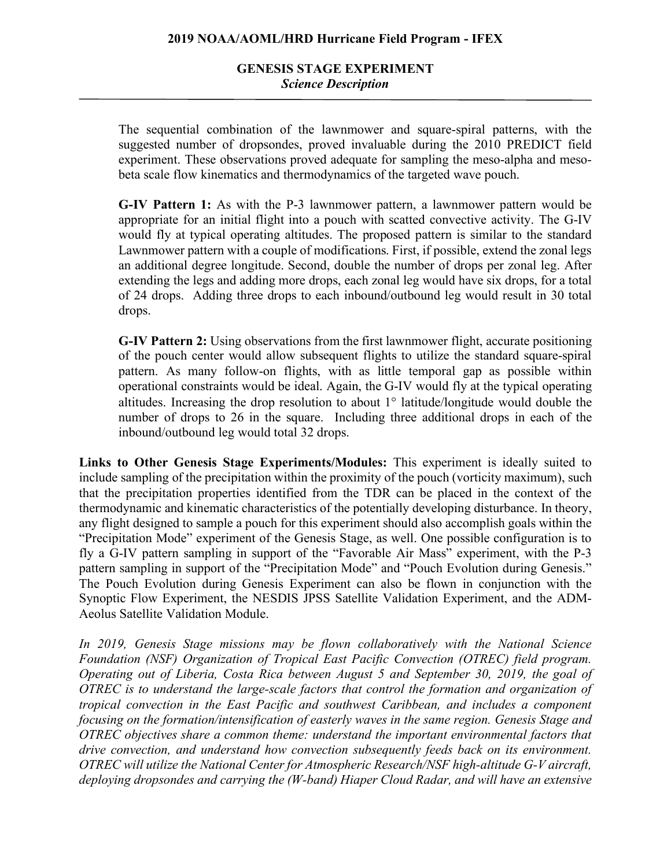# **GENESIS STAGE EXPERIMENT** *Science Description*

The sequential combination of the lawnmower and square-spiral patterns, with the suggested number of dropsondes, proved invaluable during the 2010 PREDICT field experiment. These observations proved adequate for sampling the meso-alpha and mesobeta scale flow kinematics and thermodynamics of the targeted wave pouch.

**G-IV Pattern 1:** As with the P-3 lawnmower pattern, a lawnmower pattern would be appropriate for an initial flight into a pouch with scatted convective activity. The G-IV would fly at typical operating altitudes. The proposed pattern is similar to the standard Lawnmower pattern with a couple of modifications. First, if possible, extend the zonal legs an additional degree longitude. Second, double the number of drops per zonal leg. After extending the legs and adding more drops, each zonal leg would have six drops, for a total of 24 drops. Adding three drops to each inbound/outbound leg would result in 30 total drops.

**G-IV Pattern 2:** Using observations from the first lawnmower flight, accurate positioning of the pouch center would allow subsequent flights to utilize the standard square-spiral pattern. As many follow-on flights, with as little temporal gap as possible within operational constraints would be ideal. Again, the G-IV would fly at the typical operating altitudes. Increasing the drop resolution to about 1° latitude/longitude would double the number of drops to 26 in the square. Including three additional drops in each of the inbound/outbound leg would total 32 drops.

**Links to Other Genesis Stage Experiments/Modules:** This experiment is ideally suited to include sampling of the precipitation within the proximity of the pouch (vorticity maximum), such that the precipitation properties identified from the TDR can be placed in the context of the thermodynamic and kinematic characteristics of the potentially developing disturbance. In theory, any flight designed to sample a pouch for this experiment should also accomplish goals within the "Precipitation Mode" experiment of the Genesis Stage, as well. One possible configuration is to fly a G-IV pattern sampling in support of the "Favorable Air Mass" experiment, with the P-3 pattern sampling in support of the "Precipitation Mode" and "Pouch Evolution during Genesis." The Pouch Evolution during Genesis Experiment can also be flown in conjunction with the Synoptic Flow Experiment, the NESDIS JPSS Satellite Validation Experiment, and the ADM-Aeolus Satellite Validation Module.

*In 2019, Genesis Stage missions may be flown collaboratively with the National Science Foundation (NSF) Organization of Tropical East Pacific Convection (OTREC) field program. Operating out of Liberia, Costa Rica between August 5 and September 30, 2019, the goal of OTREC is to understand the large-scale factors that control the formation and organization of tropical convection in the East Pacific and southwest Caribbean, and includes a component focusing on the formation/intensification of easterly waves in the same region. Genesis Stage and OTREC objectives share a common theme: understand the important environmental factors that drive convection, and understand how convection subsequently feeds back on its environment. OTREC will utilize the National Center for Atmospheric Research/NSF high-altitude G-V aircraft, deploying dropsondes and carrying the (W-band) Hiaper Cloud Radar, and will have an extensive*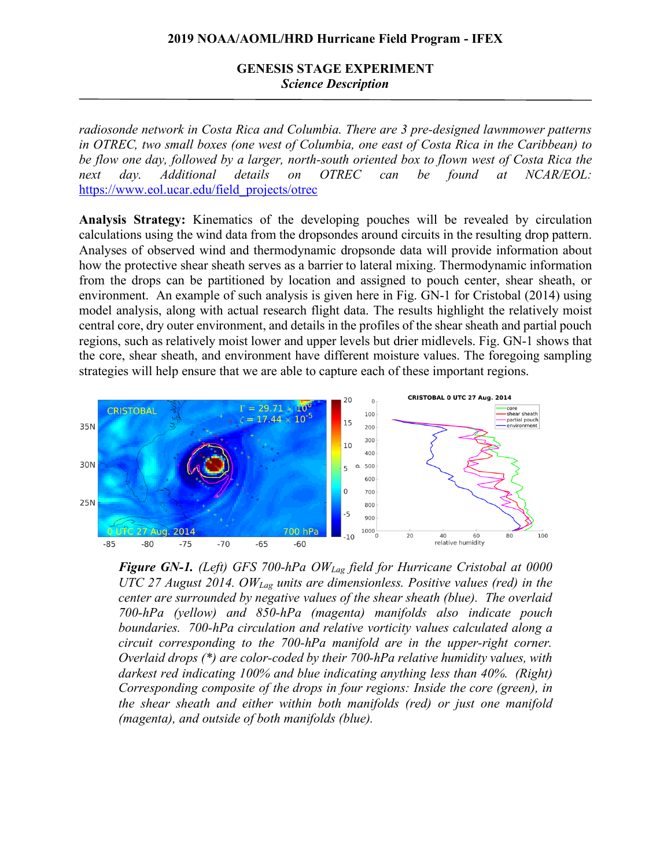## **GENESIS STAGE EXPERIMENT** *Science Description*

*radiosonde network in Costa Rica and Columbia. There are 3 pre-designed lawnmower patterns in OTREC, two small boxes (one west of Columbia, one east of Costa Rica in the Caribbean) to be flow one day, followed by a larger, north-south oriented box to flown west of Costa Rica the next day. Additional details on OTREC can be found at NCAR/EOL:*  https://www.eol.ucar.edu/field\_projects/otrec

**Analysis Strategy:** Kinematics of the developing pouches will be revealed by circulation calculations using the wind data from the dropsondes around circuits in the resulting drop pattern. Analyses of observed wind and thermodynamic dropsonde data will provide information about how the protective shear sheath serves as a barrier to lateral mixing. Thermodynamic information from the drops can be partitioned by location and assigned to pouch center, shear sheath, or environment. An example of such analysis is given here in Fig. GN-1 for Cristobal (2014) using model analysis, along with actual research flight data. The results highlight the relatively moist central core, dry outer environment, and details in the profiles of the shear sheath and partial pouch regions, such as relatively moist lower and upper levels but drier midlevels. Fig. GN-1 shows that the core, shear sheath, and environment have different moisture values. The foregoing sampling strategies will help ensure that we are able to capture each of these important regions.



*Figure GN-1. (Left) GFS 700-hPa OWLag field for Hurricane Cristobal at 0000 UTC 27 August 2014. OWLag units are dimensionless. Positive values (red) in the center are surrounded by negative values of the shear sheath (blue). The overlaid 700-hPa (yellow) and 850-hPa (magenta) manifolds also indicate pouch boundaries. 700-hPa circulation and relative vorticity values calculated along a circuit corresponding to the 700-hPa manifold are in the upper-right corner. Overlaid drops (\*) are color-coded by their 700-hPa relative humidity values, with darkest red indicating 100% and blue indicating anything less than 40%. (Right) Corresponding composite of the drops in four regions: Inside the core (green), in the shear sheath and either within both manifolds (red) or just one manifold (magenta), and outside of both manifolds (blue).*